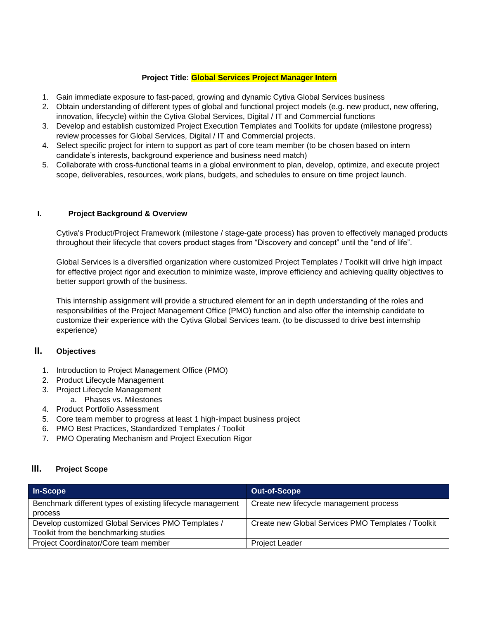### **Project Title: Global Services Project Manager Intern**

- 1. Gain immediate exposure to fast-paced, growing and dynamic Cytiva Global Services business
- 2. Obtain understanding of different types of global and functional project models (e.g. new product, new offering, innovation, lifecycle) within the Cytiva Global Services, Digital / IT and Commercial functions
- 3. Develop and establish customized Project Execution Templates and Toolkits for update (milestone progress) review processes for Global Services, Digital / IT and Commercial projects.
- 4. Select specific project for intern to support as part of core team member (to be chosen based on intern candidate's interests, background experience and business need match)
- 5. Collaborate with cross-functional teams in a global environment to plan, develop, optimize, and execute project scope, deliverables, resources, work plans, budgets, and schedules to ensure on time project launch.

### **I. Project Background & Overview**

Cytiva's Product/Project Framework (milestone / stage-gate process) has proven to effectively managed products throughout their lifecycle that covers product stages from "Discovery and concept" until the "end of life".

Global Services is a diversified organization where customized Project Templates / Toolkit will drive high impact for effective project rigor and execution to minimize waste, improve efficiency and achieving quality objectives to better support growth of the business.

This internship assignment will provide a structured element for an in depth understanding of the roles and responsibilities of the Project Management Office (PMO) function and also offer the internship candidate to customize their experience with the Cytiva Global Services team. (to be discussed to drive best internship experience)

## **II. Objectives**

- 1. Introduction to Project Management Office (PMO)
- 2. Product Lifecycle Management
- 3. Project Lifecycle Management
	- a. Phases vs. Milestones
- 4. Product Portfolio Assessment
- 5. Core team member to progress at least 1 high-impact business project
- 6. PMO Best Practices, Standardized Templates / Toolkit
- 7. PMO Operating Mechanism and Project Execution Rigor

### **III. Project Scope**

| In-Scope                                                   | <b>Out-of-Scope</b>                                |
|------------------------------------------------------------|----------------------------------------------------|
| Benchmark different types of existing lifecycle management | Create new lifecycle management process            |
| process                                                    |                                                    |
| Develop customized Global Services PMO Templates /         | Create new Global Services PMO Templates / Toolkit |
| Toolkit from the benchmarking studies                      |                                                    |
| Project Coordinator/Core team member                       | <b>Project Leader</b>                              |